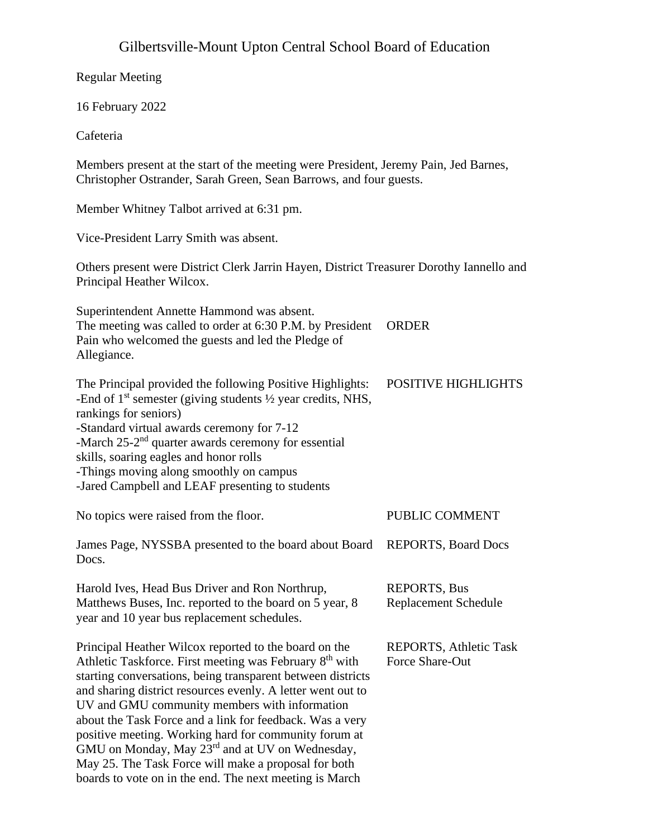# Gilbertsville-Mount Upton Central School Board of Education

| <b>Regular Meeting</b>                                                                                                                                                                                                                                                                                                                                                                                                                                                                                                                                                                                             |                                                  |
|--------------------------------------------------------------------------------------------------------------------------------------------------------------------------------------------------------------------------------------------------------------------------------------------------------------------------------------------------------------------------------------------------------------------------------------------------------------------------------------------------------------------------------------------------------------------------------------------------------------------|--------------------------------------------------|
| 16 February 2022                                                                                                                                                                                                                                                                                                                                                                                                                                                                                                                                                                                                   |                                                  |
| Cafeteria                                                                                                                                                                                                                                                                                                                                                                                                                                                                                                                                                                                                          |                                                  |
| Members present at the start of the meeting were President, Jeremy Pain, Jed Barnes,<br>Christopher Ostrander, Sarah Green, Sean Barrows, and four guests.                                                                                                                                                                                                                                                                                                                                                                                                                                                         |                                                  |
| Member Whitney Talbot arrived at 6:31 pm.                                                                                                                                                                                                                                                                                                                                                                                                                                                                                                                                                                          |                                                  |
| Vice-President Larry Smith was absent.                                                                                                                                                                                                                                                                                                                                                                                                                                                                                                                                                                             |                                                  |
| Others present were District Clerk Jarrin Hayen, District Treasurer Dorothy Iannello and<br>Principal Heather Wilcox.                                                                                                                                                                                                                                                                                                                                                                                                                                                                                              |                                                  |
| Superintendent Annette Hammond was absent.<br>The meeting was called to order at 6:30 P.M. by President<br>Pain who welcomed the guests and led the Pledge of<br>Allegiance.                                                                                                                                                                                                                                                                                                                                                                                                                                       | <b>ORDER</b>                                     |
| The Principal provided the following Positive Highlights:<br>-End of $1st$ semester (giving students $\frac{1}{2}$ year credits, NHS,<br>rankings for seniors)<br>-Standard virtual awards ceremony for 7-12<br>-March 25-2 <sup>nd</sup> quarter awards ceremony for essential<br>skills, soaring eagles and honor rolls<br>-Things moving along smoothly on campus<br>-Jared Campbell and LEAF presenting to students                                                                                                                                                                                            | <b>POSITIVE HIGHLIGHTS</b>                       |
| No topics were raised from the floor.                                                                                                                                                                                                                                                                                                                                                                                                                                                                                                                                                                              | PUBLIC COMMENT                                   |
| James Page, NYSSBA presented to the board about Board<br>Docs.                                                                                                                                                                                                                                                                                                                                                                                                                                                                                                                                                     | <b>REPORTS, Board Docs</b>                       |
| Harold Ives, Head Bus Driver and Ron Northrup,<br>Matthews Buses, Inc. reported to the board on 5 year, 8<br>year and 10 year bus replacement schedules.                                                                                                                                                                                                                                                                                                                                                                                                                                                           | <b>REPORTS, Bus</b><br>Replacement Schedule      |
| Principal Heather Wilcox reported to the board on the<br>Athletic Taskforce. First meeting was February 8 <sup>th</sup> with<br>starting conversations, being transparent between districts<br>and sharing district resources evenly. A letter went out to<br>UV and GMU community members with information<br>about the Task Force and a link for feedback. Was a very<br>positive meeting. Working hard for community forum at<br>GMU on Monday, May 23 <sup>rd</sup> and at UV on Wednesday,<br>May 25. The Task Force will make a proposal for both<br>boards to vote on in the end. The next meeting is March | <b>REPORTS, Athletic Task</b><br>Force Share-Out |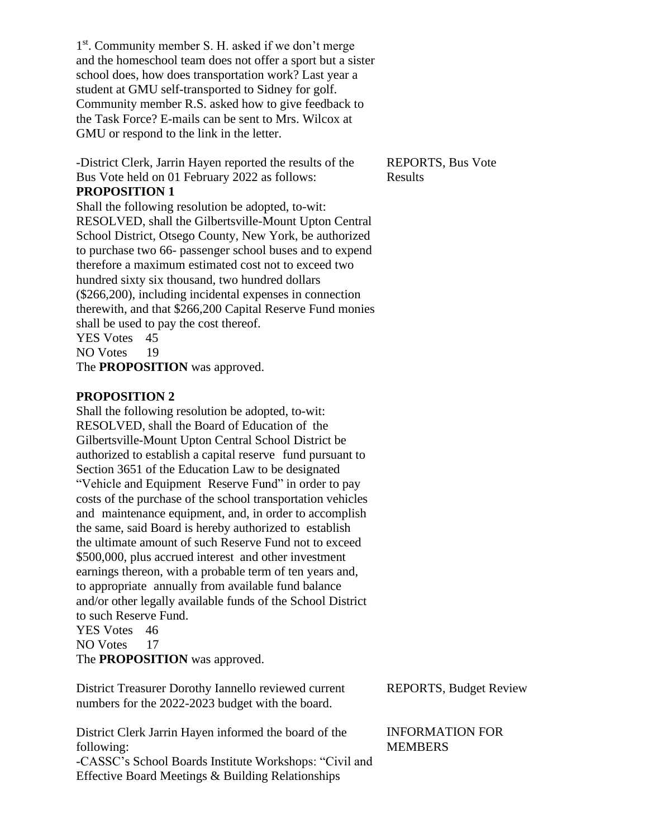1<sup>st</sup>. Community member S. H. asked if we don't merge and the homeschool team does not offer a sport but a sister school does, how does transportation work? Last year a student at GMU self-transported to Sidney for golf. Community member R.S. asked how to give feedback to the Task Force? E-mails can be sent to Mrs. Wilcox at GMU or respond to the link in the letter.

-District Clerk, Jarrin Hayen reported the results of the Bus Vote held on 01 February 2022 as follows: **PROPOSITION 1**

Shall the following resolution be adopted, to-wit: RESOLVED, shall the Gilbertsville-Mount Upton Central School District, Otsego County, New York, be authorized to purchase two 66- passenger school buses and to expend therefore a maximum estimated cost not to exceed two hundred sixty six thousand, two hundred dollars (\$266,200), including incidental expenses in connection therewith, and that \$266,200 Capital Reserve Fund monies shall be used to pay the cost thereof. YES Votes 45 NO Votes 19

The **PROPOSITION** was approved.

# **PROPOSITION 2**

Shall the following resolution be adopted, to-wit: RESOLVED, shall the Board of Education of the Gilbertsville-Mount Upton Central School District be authorized to establish a capital reserve fund pursuant to Section 3651 of the Education Law to be designated "Vehicle and Equipment Reserve Fund" in order to pay costs of the purchase of the school transportation vehicles and maintenance equipment, and, in order to accomplish the same, said Board is hereby authorized to establish the ultimate amount of such Reserve Fund not to exceed \$500,000, plus accrued interest and other investment earnings thereon, with a probable term of ten years and, to appropriate annually from available fund balance and/or other legally available funds of the School District to such Reserve Fund. YES Votes 46

NO Votes 17

The **PROPOSITION** was approved.

District Treasurer Dorothy Iannello reviewed current numbers for the 2022-2023 budget with the board.

District Clerk Jarrin Hayen informed the board of the following: -CASSC's School Boards Institute Workshops: "Civil and

Effective Board Meetings & Building Relationships

REPORTS, Bus Vote Results

REPORTS, Budget Review

INFORMATION FOR **MEMBERS**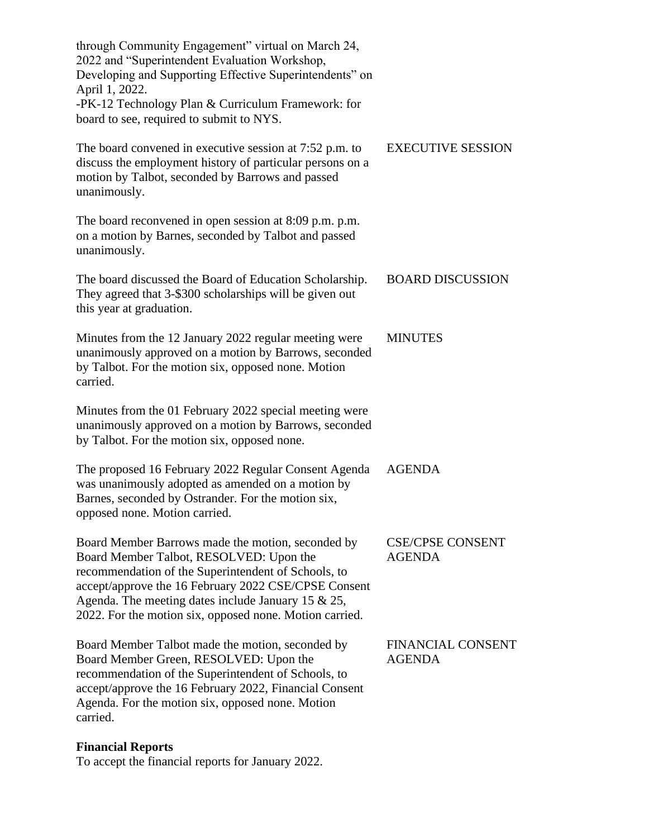| through Community Engagement" virtual on March 24,<br>2022 and "Superintendent Evaluation Workshop,<br>Developing and Supporting Effective Superintendents" on<br>April 1, 2022.<br>-PK-12 Technology Plan & Curriculum Framework: for<br>board to see, required to submit to NYS.                                              |                                           |
|---------------------------------------------------------------------------------------------------------------------------------------------------------------------------------------------------------------------------------------------------------------------------------------------------------------------------------|-------------------------------------------|
| The board convened in executive session at 7:52 p.m. to<br>discuss the employment history of particular persons on a<br>motion by Talbot, seconded by Barrows and passed<br>unanimously.                                                                                                                                        | <b>EXECUTIVE SESSION</b>                  |
| The board reconvened in open session at 8:09 p.m. p.m.<br>on a motion by Barnes, seconded by Talbot and passed<br>unanimously.                                                                                                                                                                                                  |                                           |
| The board discussed the Board of Education Scholarship.<br>They agreed that 3-\$300 scholarships will be given out<br>this year at graduation.                                                                                                                                                                                  | <b>BOARD DISCUSSION</b>                   |
| Minutes from the 12 January 2022 regular meeting were<br>unanimously approved on a motion by Barrows, seconded<br>by Talbot. For the motion six, opposed none. Motion<br>carried.                                                                                                                                               | <b>MINUTES</b>                            |
| Minutes from the 01 February 2022 special meeting were<br>unanimously approved on a motion by Barrows, seconded<br>by Talbot. For the motion six, opposed none.                                                                                                                                                                 |                                           |
| The proposed 16 February 2022 Regular Consent Agenda<br>was unanimously adopted as amended on a motion by<br>Barnes, seconded by Ostrander. For the motion six,<br>opposed none. Motion carried.                                                                                                                                | <b>AGENDA</b>                             |
| Board Member Barrows made the motion, seconded by<br>Board Member Talbot, RESOLVED: Upon the<br>recommendation of the Superintendent of Schools, to<br>accept/approve the 16 February 2022 CSE/CPSE Consent<br>Agenda. The meeting dates include January 15 $\&$ 25,<br>2022. For the motion six, opposed none. Motion carried. | <b>CSE/CPSE CONSENT</b><br><b>AGENDA</b>  |
| Board Member Talbot made the motion, seconded by<br>Board Member Green, RESOLVED: Upon the<br>recommendation of the Superintendent of Schools, to<br>accept/approve the 16 February 2022, Financial Consent<br>Agenda. For the motion six, opposed none. Motion<br>carried.                                                     | <b>FINANCIAL CONSENT</b><br><b>AGENDA</b> |
| <b>Financial Reports</b>                                                                                                                                                                                                                                                                                                        |                                           |

To accept the financial reports for January 2022.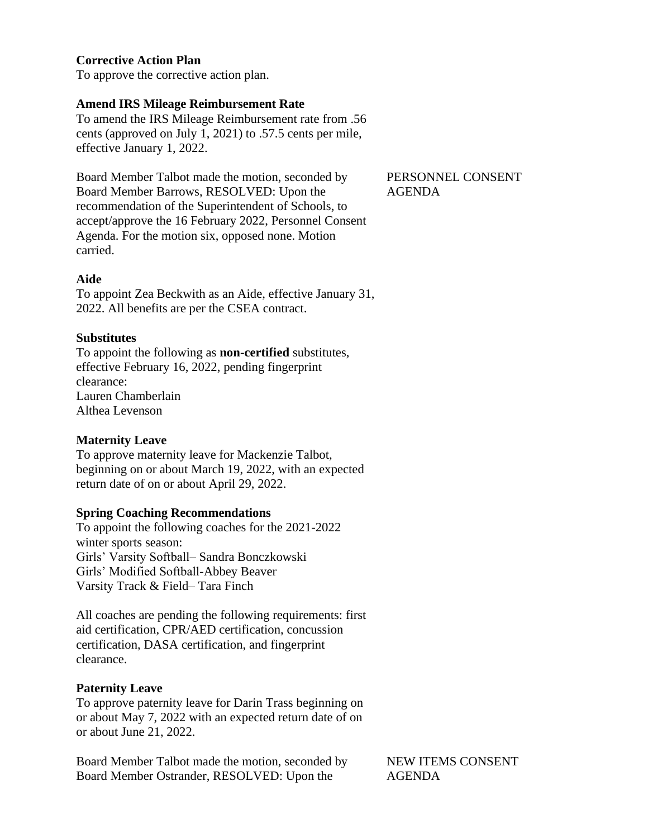# **Corrective Action Plan**

To approve the corrective action plan.

# **Amend IRS Mileage Reimbursement Rate**

To amend the IRS Mileage Reimbursement rate from .56 cents (approved on July 1, 2021) to .57.5 cents per mile, effective January 1, 2022.

Board Member Talbot made the motion, seconded by Board Member Barrows, RESOLVED: Upon the recommendation of the Superintendent of Schools, to accept/approve the 16 February 2022, Personnel Consent Agenda. For the motion six, opposed none. Motion carried.

#### **Aide**

To appoint Zea Beckwith as an Aide, effective January 31, 2022. All benefits are per the CSEA contract.

#### **Substitutes**

To appoint the following as **non-certified** substitutes, effective February 16, 2022, pending fingerprint clearance: Lauren Chamberlain Althea Levenson

# **Maternity Leave**

To approve maternity leave for Mackenzie Talbot, beginning on or about March 19, 2022, with an expected return date of on or about April 29, 2022.

#### **Spring Coaching Recommendations**

To appoint the following coaches for the 2021-2022 winter sports season: Girls' Varsity Softball– Sandra Bonczkowski Girls' Modified Softball-Abbey Beaver Varsity Track & Field– Tara Finch

All coaches are pending the following requirements: first aid certification, CPR/AED certification, concussion certification, DASA certification, and fingerprint clearance.

#### **Paternity Leave**

To approve paternity leave for Darin Trass beginning on or about May 7, 2022 with an expected return date of on or about June 21, 2022.

Board Member Talbot made the motion, seconded by Board Member Ostrander, RESOLVED: Upon the

NEW ITEMS CONSENT AGENDA

#### PERSONNEL CONSENT AGENDA